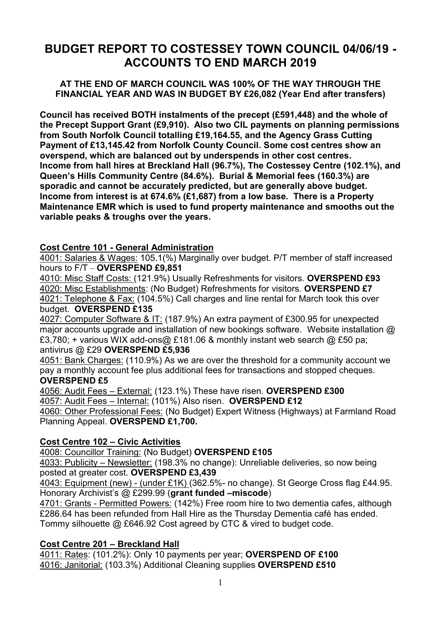# **BUDGET REPORT TO COSTESSEY TOWN COUNCIL 04/06/19 - ACCOUNTS TO END MARCH 2019**

### **AT THE END OF MARCH COUNCIL WAS 100% OF THE WAY THROUGH THE FINANCIAL YEAR AND WAS IN BUDGET BY £26,082 (Year End after transfers)**

**Council has received BOTH instalments of the precept (£591,448) and the whole of the Precept Support Grant (£9,910). Also two CIL payments on planning permissions from South Norfolk Council totalling £19,164.55, and the Agency Grass Cutting Payment of £13,145.42 from Norfolk County Council. Some cost centres show an overspend, which are balanced out by underspends in other cost centres. Income from hall hires at Breckland Hall (96.7%), The Costessey Centre (102.1%), and Queen's Hills Community Centre (84.6%). Burial & Memorial fees (160.3%) are sporadic and cannot be accurately predicted, but are generally above budget. Income from interest is at 674.6% (£1,687) from a low base. There is a Property Maintenance EMR which is used to fund property maintenance and smooths out the variable peaks & troughs over the years.**

### **Cost Centre 101 - General Administration**

4001: Salaries & Wages: 105.1(%) Marginally over budget. P/T member of staff increased hours to F/T – **OVERSPEND £9,851**

4010: Misc Staff Costs: (121.9%) Usually Refreshments for visitors. **OVERSPEND £93** 4020: Misc Establishments: (No Budget) Refreshments for visitors. **OVERSPEND £7** 4021: Telephone & Fax: (104.5%) Call charges and line rental for March took this over budget. **OVERSPEND £135**

4027: Computer Software & IT: (187.9%) An extra payment of £300.95 for unexpected major accounts upgrade and installation of new bookings software. Website installation @ £3,780; + various WIX add-ons@ £181.06 & monthly instant web search @ £50 pa; antivirus @ £29 **OVERSPEND £5,936**

## 4051: Bank Charges: (110.9%) As we are over the threshold for a community account we pay a monthly account fee plus additional fees for transactions and stopped cheques.

### **OVERSPEND £5**

4056: Audit Fees – External: (123.1%) These have risen. **OVERSPEND £300** 4057: Audit Fees – Internal: (101%) Also risen. **OVERSPEND £12**

4060: Other Professional Fees: (No Budget) Expert Witness (Highways) at Farmland Road Planning Appeal. **OVERSPEND £1,700.**

### **Cost Centre 102 – Civic Activities**

4008: Councillor Training: (No Budget) **OVERSPEND £105**

4033: Publicity – Newsletter: (198.3% no change): Unreliable deliveries, so now being posted at greater cost. **OVERSPEND £3,439**

4043: Equipment (new) - (under £1K) (362.5%- no change). St George Cross flag £44.95. Honorary Archivist's @ £299.99 (**grant funded –miscode**)

4701: Grants - Permitted Powers: (142%) Free room hire to two dementia cafes, although £286.64 has been refunded from Hall Hire as the Thursday Dementia café has ended. Tommy silhouette @ £646.92 Cost agreed by CTC & vired to budget code.

### **Cost Centre 201 – Breckland Hall**

4011: Rates: (101.2%): Only 10 payments per year; **OVERSPEND OF £100** 4016: Janitorial: (103.3%) Additional Cleaning supplies **OVERSPEND £510**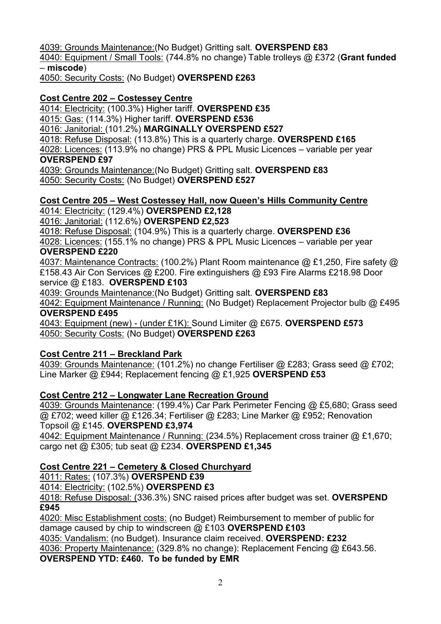4039: Grounds Maintenance:(No Budget) Gritting salt. **OVERSPEND £83**

4040: Equipment / Small Tools: (744.8% no change) Table trolleys @ £372 (**Grant funded**  – **miscode**)

4050: Security Costs: (No Budget) **OVERSPEND £263**

## **Cost Centre 202 – Costessey Centre**

4014: Electricity: (100.3%) Higher tariff. **OVERSPEND £35**

4015: Gas: (114.3%) Higher tariff. **OVERSPEND £536**

4016: Janitorial: (101.2%) **MARGINALLY OVERSPEND £527**

4018: Refuse Disposal: (113.8%) This is a quarterly charge. **OVERSPEND £165**

4028: Licences: (113.9% no change) PRS & PPL Music Licences – variable per year **OVERSPEND £97**

4039: Grounds Maintenance:(No Budget) Gritting salt. **OVERSPEND £83** 4050: Security Costs: (No Budget) **OVERSPEND £527**

### **Cost Centre 205 – West Costessey Hall, now Queen's Hills Community Centre** 4014: Electricity: (129.4%) **OVERSPEND £2,128**

4016: Janitorial: (112.6%) **OVERSPEND £2,523**

4018: Refuse Disposal: (104.9%) This is a quarterly charge. **OVERSPEND £36**

4028: Licences: (155.1% no change) PRS & PPL Music Licences – variable per year **OVERSPEND £220**

4037: Maintenance Contracts: (100.2%) Plant Room maintenance @ £1,250, Fire safety @ £158.43 Air Con Services @ £200. Fire extinguishers @ £93 Fire Alarms £218.98 Door service @ £183. **OVERSPEND £103**

4039: Grounds Maintenance:(No Budget) Gritting salt. **OVERSPEND £83**

4042: Equipment Maintenance / Running: (No Budget) Replacement Projector bulb @ £495 **OVERSPEND £495**

4043: Equipment (new) - (under £1K): Sound Limiter @ £675. **OVERSPEND £573** 4050: Security Costs: (No Budget) **OVERSPEND £263**

# **Cost Centre 211 – Breckland Park**

4039: Grounds Maintenance: (101.2%) no change Fertiliser @ £283; Grass seed @ £702; Line Marker @ £944; Replacement fencing @ £1,925 **OVERSPEND £53**

## **Cost Centre 212 – Longwater Lane Recreation Ground**

4039: Grounds Maintenance: (199.4%) Car Park Perimeter Fencing @ £5,680; Grass seed @ £702; weed killer @ £126.34; Fertiliser @ £283; Line Marker @ £952; Renovation Topsoil @ £145. **OVERSPEND £3,974**

4042: Equipment Maintenance / Running: (234.5%) Replacement cross trainer @ £1,670; cargo net @ £305; tub seat @ £234. **OVERSPEND £1,345**

# **Cost Centre 221 – Cemetery & Closed Churchyard**

4011: Rates: (107.3%) **OVERSPEND £39**

4014: Electricity: (102.5%) **OVERSPEND £3**

4018: Refuse Disposal: (336.3%) SNC raised prices after budget was set. **OVERSPEND £945**

4020: Misc Establishment costs: (no Budget) Reimbursement to member of public for damage caused by chip to windscreen @ £103 **OVERSPEND £103**

4035: Vandalism: (no Budget). Insurance claim received. **OVERSPEND: £232**

4036: Property Maintenance: (329.8% no change): Replacement Fencing @ £643.56.

**OVERSPEND YTD: £460. To be funded by EMR**